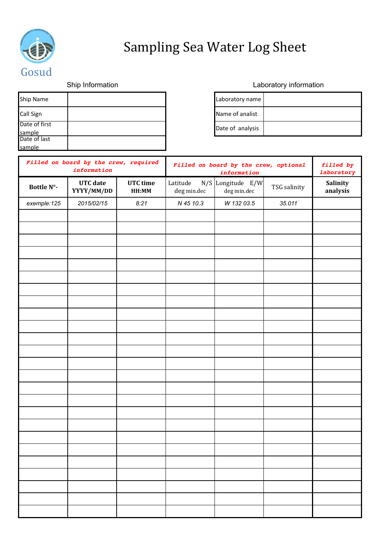

## Sampling Sea Water Log Sheet

| Ship Name               | Laboratory name  |
|-------------------------|------------------|
| Call Sign               | Name of analist  |
| Date of first<br>sample | Date of analysis |
| Date of last<br>sample  |                  |

## Ship Information **Laboratory** information

| Laboratory name  |  |
|------------------|--|
| Name of analist  |  |
| Date of analysis |  |

| Filled on board by the crew, required<br>information |                               |                   | Filled on board by the crew, optional<br>information |                                    | filled by<br>laboratory |                      |
|------------------------------------------------------|-------------------------------|-------------------|------------------------------------------------------|------------------------------------|-------------------------|----------------------|
| Bottle N°-                                           | <b>UTC</b> date<br>YYYY/MM/DD | UTC time<br>HH:MM | Latitude<br>$\deg$ min.dec                           | $N/S$ Longitude E/W<br>deg min.dec | TSG salinity            | Salinity<br>analysis |
| exemple:125                                          | 2015/02/15                    | 8:21              | N 45 10.3                                            | W 132 03.5                         | 35.011                  |                      |
|                                                      |                               |                   |                                                      |                                    |                         |                      |
|                                                      |                               |                   |                                                      |                                    |                         |                      |
|                                                      |                               |                   |                                                      |                                    |                         |                      |
|                                                      |                               |                   |                                                      |                                    |                         |                      |
|                                                      |                               |                   |                                                      |                                    |                         |                      |
|                                                      |                               |                   |                                                      |                                    |                         |                      |
|                                                      |                               |                   |                                                      |                                    |                         |                      |
|                                                      |                               |                   |                                                      |                                    |                         |                      |
|                                                      |                               |                   |                                                      |                                    |                         |                      |
|                                                      |                               |                   |                                                      |                                    |                         |                      |
|                                                      |                               |                   |                                                      |                                    |                         |                      |
|                                                      |                               |                   |                                                      |                                    |                         |                      |
|                                                      |                               |                   |                                                      |                                    |                         |                      |
|                                                      |                               |                   |                                                      |                                    |                         |                      |
|                                                      |                               |                   |                                                      |                                    |                         |                      |
|                                                      |                               |                   |                                                      |                                    |                         |                      |
|                                                      |                               |                   |                                                      |                                    |                         |                      |
|                                                      |                               |                   |                                                      |                                    |                         |                      |
|                                                      |                               |                   |                                                      |                                    |                         |                      |
|                                                      |                               |                   |                                                      |                                    |                         |                      |
|                                                      |                               |                   |                                                      |                                    |                         |                      |
|                                                      |                               |                   |                                                      |                                    |                         |                      |
|                                                      |                               |                   |                                                      |                                    |                         |                      |
|                                                      |                               |                   |                                                      |                                    |                         |                      |
|                                                      |                               |                   |                                                      |                                    |                         |                      |